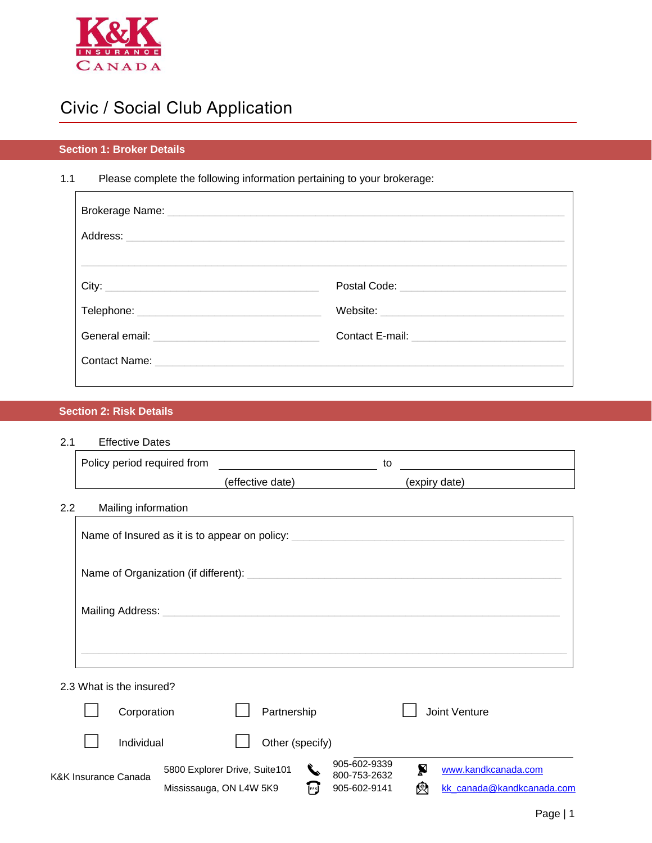

# Civic / Social Club Application

### **Section 1: Broker Details**

### 1.1 Please complete the following information pertaining to your brokerage:

|                                      | Postal Code: <u>_________________________</u> |
|--------------------------------------|-----------------------------------------------|
| Telephone: _________________________ |                                               |
|                                      |                                               |
|                                      |                                               |
|                                      |                                               |

### **Section 2: Risk Details**

2.1 Effective Dates

| <u>.</u> | LIIGUUVU DALGO              |                                               |    |               |
|----------|-----------------------------|-----------------------------------------------|----|---------------|
|          | Policy period required from |                                               | to |               |
|          |                             | (effective date)                              |    | (expiry date) |
| $2.2\,$  | Mailing information         |                                               |    |               |
|          |                             | Name of Insured as it is to appear on policy: |    |               |
|          |                             |                                               |    |               |
|          |                             |                                               |    |               |
|          |                             |                                               |    |               |
|          | 2.3 What is the insured?    |                                               |    |               |

|                      | Corporation |                               | Partnership     |                      |                              |   | Joint Venture             |
|----------------------|-------------|-------------------------------|-----------------|----------------------|------------------------------|---|---------------------------|
|                      | Individual  |                               | Other (specify) |                      |                              |   |                           |
| K&K Insurance Canada |             | 5800 Explorer Drive, Suite101 |                 | $\blacktriangledown$ | 905-602-9339<br>800-753-2632 |   | www.kandkcanada.com       |
|                      |             | Mississauga, ON L4W 5K9       |                 | FAX                  | 905-602-9141                 | 傯 | kk canada@kandkcanada.com |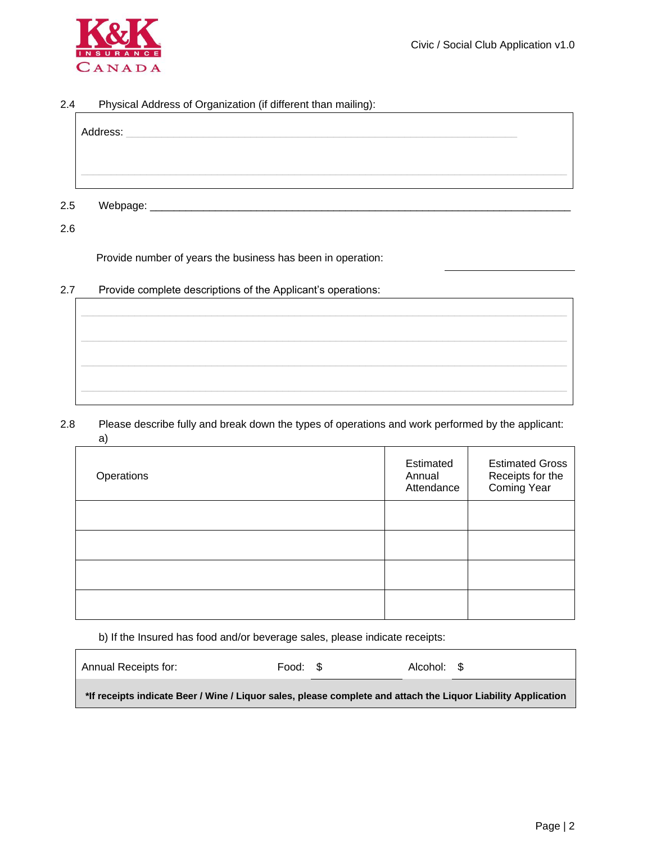

#### 2.4 Physical Address of Organization (if different than mailing):

| Address:        |  |  |  |
|-----------------|--|--|--|
|                 |  |  |  |
|                 |  |  |  |
| 2.5<br>Webpage: |  |  |  |

2.6

Provide number of years the business has been in operation:

2.7 Provide complete descriptions of the Applicant's operations:

2.8 Please describe fully and break down the types of operations and work performed by the applicant: a)

| Operations | Estimated<br>Annual<br>Attendance | <b>Estimated Gross</b><br>Receipts for the<br><b>Coming Year</b> |
|------------|-----------------------------------|------------------------------------------------------------------|
|            |                                   |                                                                  |
|            |                                   |                                                                  |
|            |                                   |                                                                  |
|            |                                   |                                                                  |

b) If the Insured has food and/or beverage sales, please indicate receipts:

| Annual Receipts for:                                                                                          | Food: \$ | Alcohol: \$ |  |
|---------------------------------------------------------------------------------------------------------------|----------|-------------|--|
| *If receipts indicate Beer / Wine / Liquor sales, please complete and attach the Liquor Liability Application |          |             |  |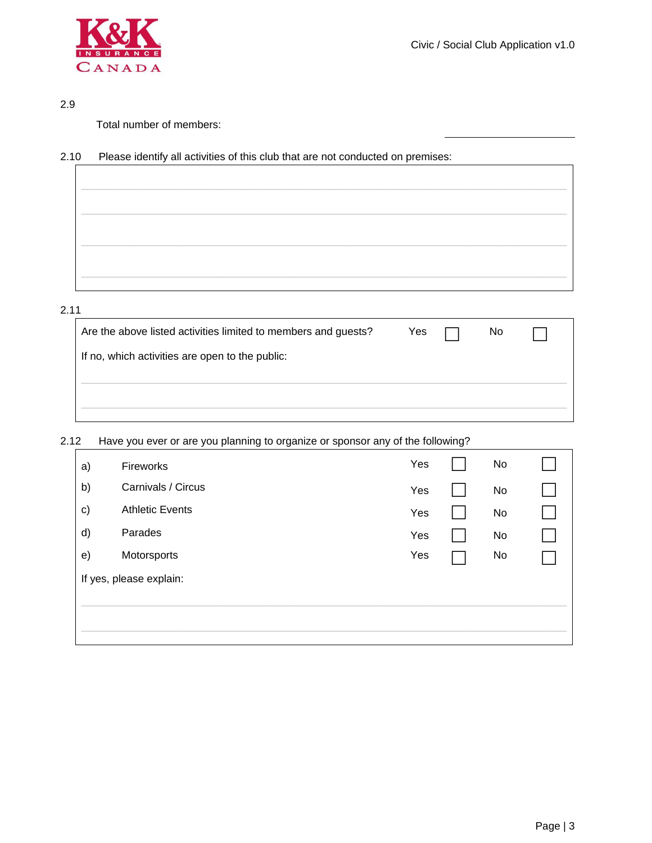

#### 2.9

Total number of members:

### 2.10 Please identify all activities of this club that are not conducted on premises:

| the control of the control of the control of |  |
|----------------------------------------------|--|
|                                              |  |
|                                              |  |
|                                              |  |
|                                              |  |
|                                              |  |
|                                              |  |
|                                              |  |
|                                              |  |
|                                              |  |
|                                              |  |
|                                              |  |

#### 2.11

| Are the above listed activities limited to members and guests? | Yes | No |  |
|----------------------------------------------------------------|-----|----|--|
| If no, which activities are open to the public:                |     |    |  |
|                                                                |     |    |  |
|                                                                |     |    |  |

### 2.12 Have you ever or are you planning to organize or sponsor any of the following?

| Fireworks               | Yes | No |  |
|-------------------------|-----|----|--|
| Carnivals / Circus      | Yes | No |  |
| <b>Athletic Events</b>  | Yes | No |  |
| Parades                 | Yes | No |  |
| Motorsports             | Yes | No |  |
| If yes, please explain: |     |    |  |
|                         |     |    |  |
|                         |     |    |  |
|                         |     |    |  |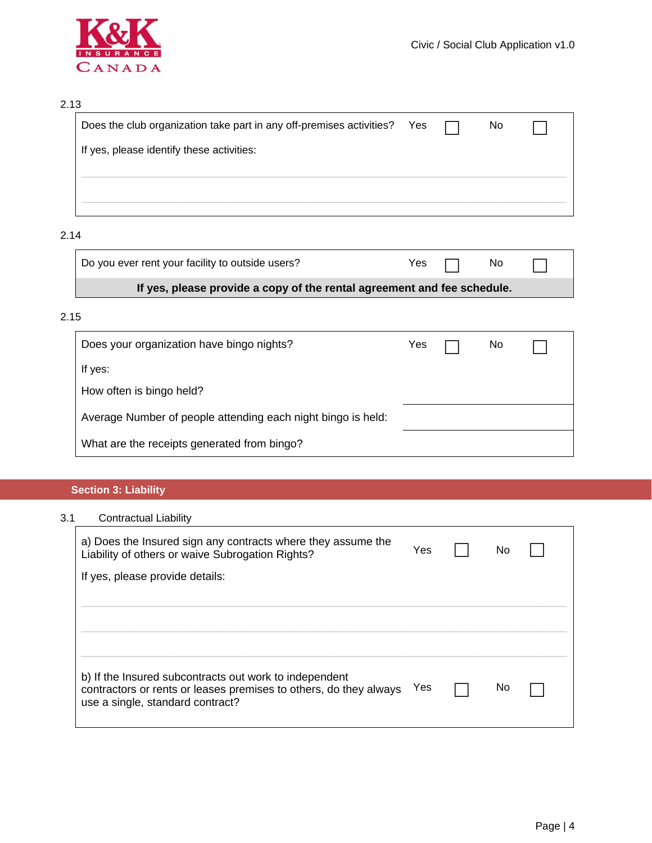

### 2.13

| Does the club organization take part in any off-premises activities? Yes $\Box$ |  | No. |  |
|---------------------------------------------------------------------------------|--|-----|--|
| If yes, please identify these activities:                                       |  |     |  |
|                                                                                 |  |     |  |
|                                                                                 |  |     |  |

### 2.14

| Do you ever rent your facility to outside users?                        |  | Yes $\Box$ No $\Box$ |  |  |  |  |
|-------------------------------------------------------------------------|--|----------------------|--|--|--|--|
| If yes, please provide a copy of the rental agreement and fee schedule. |  |                      |  |  |  |  |

### 2.15

| Does your organization have bingo nights?                    | Yes | No. |  |
|--------------------------------------------------------------|-----|-----|--|
| If yes:                                                      |     |     |  |
| How often is bingo held?                                     |     |     |  |
| Average Number of people attending each night bingo is held: |     |     |  |
| What are the receipts generated from bingo?                  |     |     |  |

### **Section 3: Liability**

## 3.1 Contractual Liability

| a) Does the Insured sign any contracts where they assume the<br>Liability of others or waive Subrogation Rights?                                                | Yes | No |  |
|-----------------------------------------------------------------------------------------------------------------------------------------------------------------|-----|----|--|
| If yes, please provide details:                                                                                                                                 |     |    |  |
|                                                                                                                                                                 |     |    |  |
|                                                                                                                                                                 |     |    |  |
|                                                                                                                                                                 |     |    |  |
| b) If the Insured subcontracts out work to independent<br>contractors or rents or leases premises to others, do they always<br>use a single, standard contract? | Yes | No |  |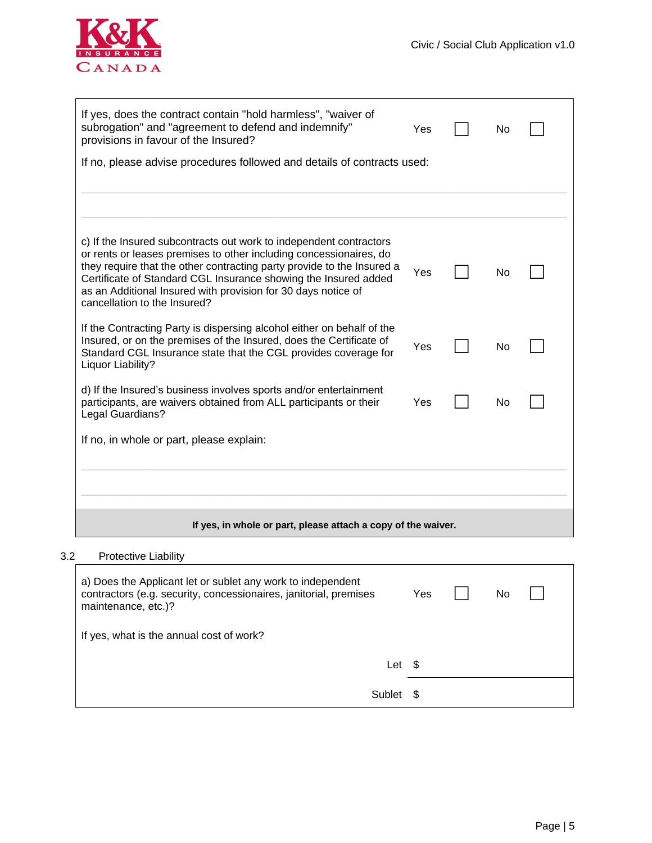

| If yes, does the contract contain "hold harmless", "waiver of<br>subrogation" and "agreement to defend and indemnify"<br>provisions in favour of the Insured?                                                                                                                                                                                                                          | Yes |  | No |  |  |
|----------------------------------------------------------------------------------------------------------------------------------------------------------------------------------------------------------------------------------------------------------------------------------------------------------------------------------------------------------------------------------------|-----|--|----|--|--|
| If no, please advise procedures followed and details of contracts used:                                                                                                                                                                                                                                                                                                                |     |  |    |  |  |
|                                                                                                                                                                                                                                                                                                                                                                                        |     |  |    |  |  |
|                                                                                                                                                                                                                                                                                                                                                                                        |     |  |    |  |  |
| c) If the Insured subcontracts out work to independent contractors<br>or rents or leases premises to other including concessionaires, do<br>they require that the other contracting party provide to the Insured a<br>Certificate of Standard CGL Insurance showing the Insured added<br>as an Additional Insured with provision for 30 days notice of<br>cancellation to the Insured? | Yes |  | No |  |  |
| If the Contracting Party is dispersing alcohol either on behalf of the<br>Insured, or on the premises of the Insured, does the Certificate of<br>Standard CGL Insurance state that the CGL provides coverage for<br>Liquor Liability?                                                                                                                                                  | Yes |  | No |  |  |
| d) If the Insured's business involves sports and/or entertainment<br>participants, are waivers obtained from ALL participants or their<br>Legal Guardians?                                                                                                                                                                                                                             | Yes |  | No |  |  |
| If no, in whole or part, please explain:                                                                                                                                                                                                                                                                                                                                               |     |  |    |  |  |
|                                                                                                                                                                                                                                                                                                                                                                                        |     |  |    |  |  |
|                                                                                                                                                                                                                                                                                                                                                                                        |     |  |    |  |  |
| If yes, in whole or part, please attach a copy of the waiver.                                                                                                                                                                                                                                                                                                                          |     |  |    |  |  |

#### 3.2 Protective Liability

| a) Does the Applicant let or sublet any work to independent<br>contractors (e.g. security, concessionaires, janitorial, premises<br>maintenance, etc.)? | Yes | No |  |
|---------------------------------------------------------------------------------------------------------------------------------------------------------|-----|----|--|
| If yes, what is the annual cost of work?                                                                                                                |     |    |  |
| Let \$                                                                                                                                                  |     |    |  |
| Sublet                                                                                                                                                  |     |    |  |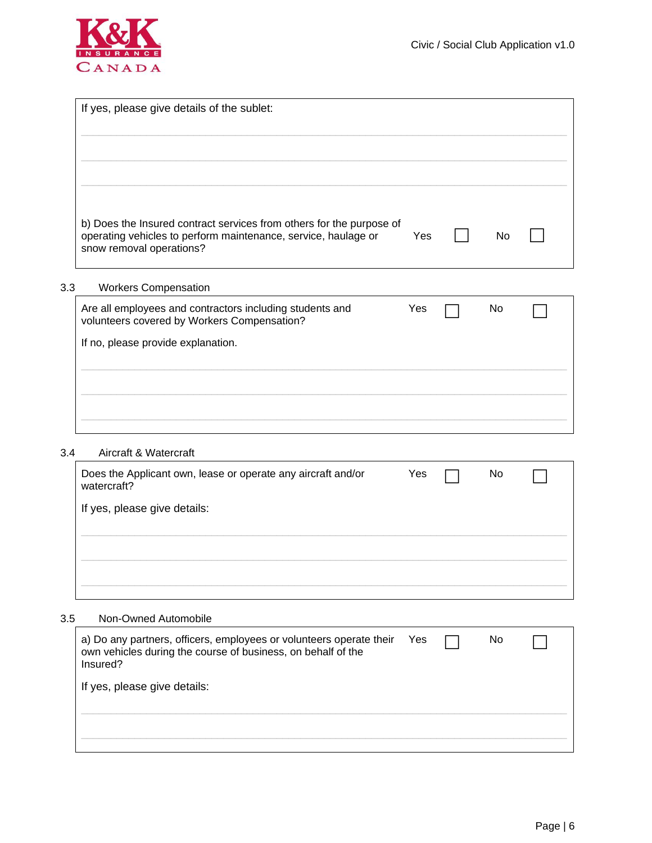

|                             | Yes                                                                                                                                                                                                                                                                                       |                                                                      | No |  |
|-----------------------------|-------------------------------------------------------------------------------------------------------------------------------------------------------------------------------------------------------------------------------------------------------------------------------------------|----------------------------------------------------------------------|----|--|
| <b>Workers Compensation</b> |                                                                                                                                                                                                                                                                                           |                                                                      |    |  |
|                             | Yes                                                                                                                                                                                                                                                                                       |                                                                      | No |  |
|                             |                                                                                                                                                                                                                                                                                           |                                                                      |    |  |
|                             |                                                                                                                                                                                                                                                                                           |                                                                      |    |  |
|                             |                                                                                                                                                                                                                                                                                           |                                                                      |    |  |
|                             | If yes, please give details of the sublet:<br>operating vehicles to perform maintenance, service, haulage or<br>snow removal operations?<br>Are all employees and contractors including students and<br>volunteers covered by Workers Compensation?<br>If no, please provide explanation. | b) Does the Insured contract services from others for the purpose of |    |  |

#### 3.4 Aircraft & Watercraft

| Does the Applicant own, lease or operate any aircraft and/or<br>watercraft? | Yes | No |  |
|-----------------------------------------------------------------------------|-----|----|--|
| If yes, please give details:                                                |     |    |  |
|                                                                             |     |    |  |
|                                                                             |     |    |  |
|                                                                             |     |    |  |
|                                                                             |     |    |  |

#### 3.5 Non-Owned Automobile

| a) Do any partners, officers, employees or volunteers operate their Yes<br>own vehicles during the course of business, on behalf of the<br>Insured? |  | No |  |
|-----------------------------------------------------------------------------------------------------------------------------------------------------|--|----|--|
| If yes, please give details:                                                                                                                        |  |    |  |
|                                                                                                                                                     |  |    |  |
|                                                                                                                                                     |  |    |  |
|                                                                                                                                                     |  |    |  |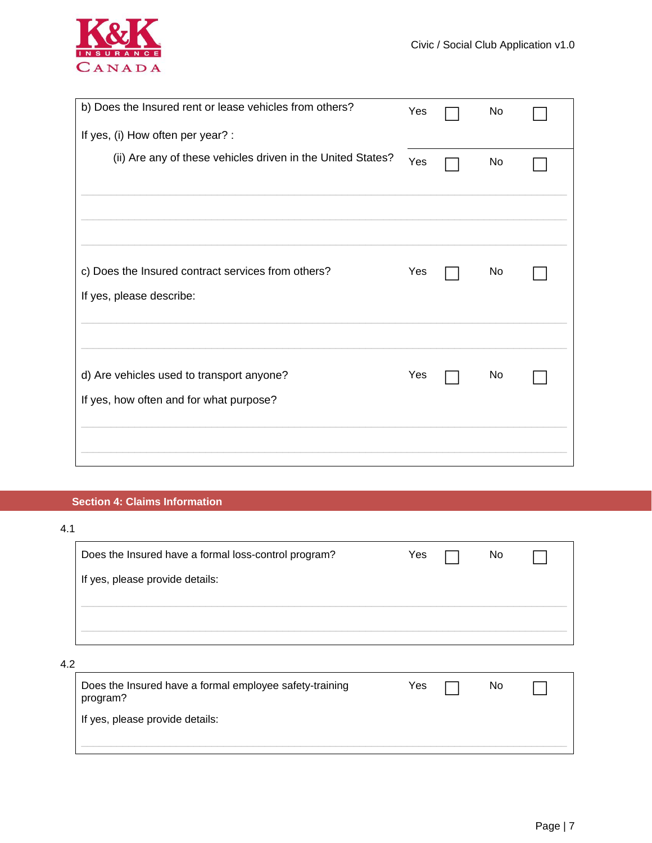

| b) Does the Insured rent or lease vehicles from others?                              | Yes | No |  |
|--------------------------------------------------------------------------------------|-----|----|--|
| If yes, (i) How often per year? :                                                    |     |    |  |
| (ii) Are any of these vehicles driven in the United States?                          | Yes | No |  |
|                                                                                      |     |    |  |
| c) Does the Insured contract services from others?<br>If yes, please describe:       | Yes | No |  |
| d) Are vehicles used to transport anyone?<br>If yes, how often and for what purpose? | Yes | No |  |
|                                                                                      |     |    |  |

### **Section 4: Claims Information**

| I | I |
|---|---|
|   |   |
|   |   |
|   |   |

|     | Does the Insured have a formal loss-control program?                | Yes | No. |  |
|-----|---------------------------------------------------------------------|-----|-----|--|
|     | If yes, please provide details:                                     |     |     |  |
|     |                                                                     |     |     |  |
|     |                                                                     |     |     |  |
| 4.2 |                                                                     |     |     |  |
|     | Does the Insured have a formal employee safety-training<br>program? | Yes | No. |  |
|     | If yes, please provide details:                                     |     |     |  |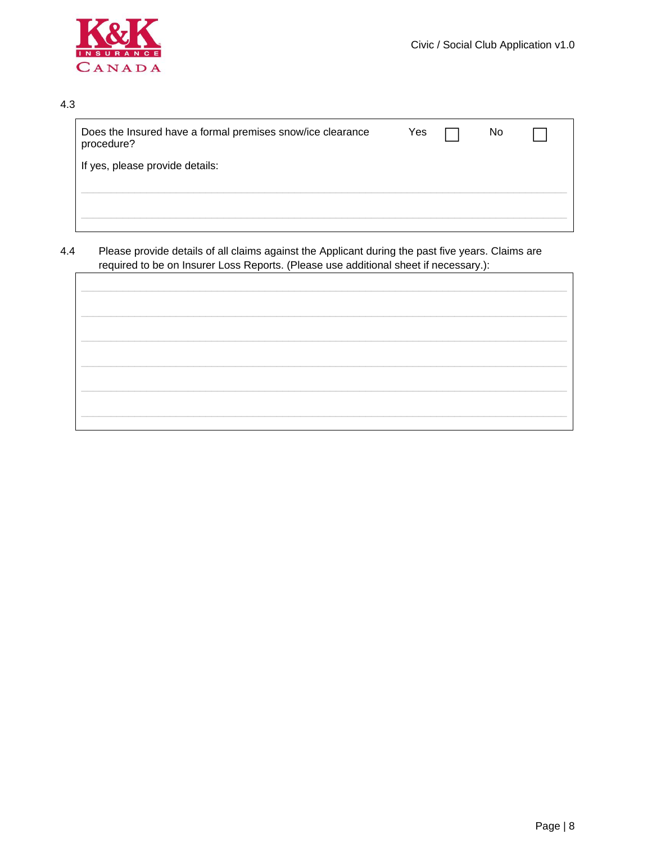

#### 4.3

| Does the Insured have a formal premises snow/ice clearance<br>procedure? | Yes | No. |  |
|--------------------------------------------------------------------------|-----|-----|--|
| If yes, please provide details:                                          |     |     |  |
|                                                                          |     |     |  |
|                                                                          |     |     |  |
|                                                                          |     |     |  |

#### $4.4$ Please provide details of all claims against the Applicant during the past five years. Claims are required to be on Insurer Loss Reports. (Please use additional sheet if necessary.):

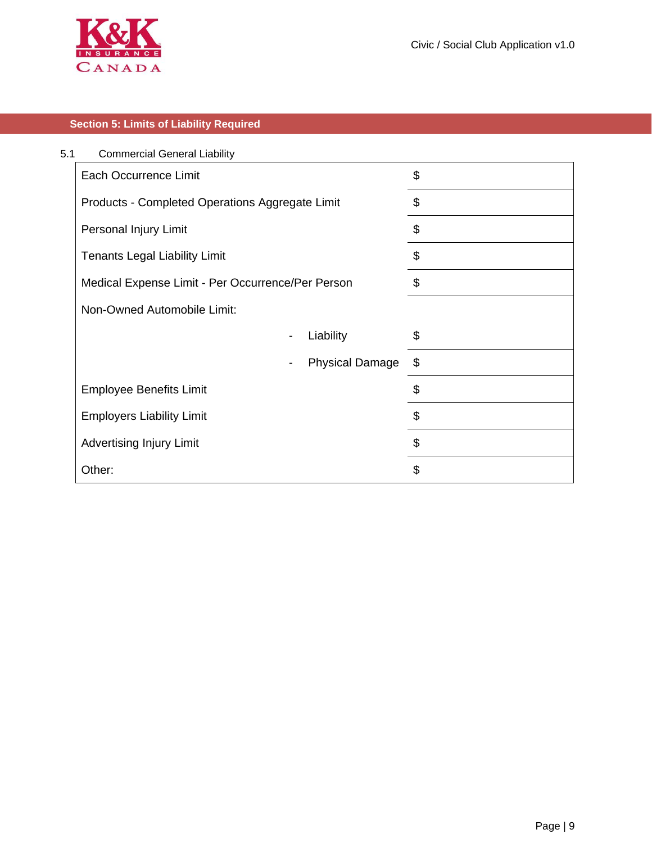

### **Section 5: Limits of Liability Required**

| 5.1 | <b>Commercial General Liability</b>               |                        |    |
|-----|---------------------------------------------------|------------------------|----|
|     | <b>Each Occurrence Limit</b>                      |                        | \$ |
|     | Products - Completed Operations Aggregate Limit   |                        | \$ |
|     | Personal Injury Limit                             |                        | \$ |
|     | <b>Tenants Legal Liability Limit</b>              |                        | \$ |
|     | Medical Expense Limit - Per Occurrence/Per Person |                        | \$ |
|     | Non-Owned Automobile Limit:                       |                        |    |
|     | $\qquad \qquad \blacksquare$                      | Liability              | \$ |
|     |                                                   | <b>Physical Damage</b> | \$ |
|     | <b>Employee Benefits Limit</b>                    |                        | \$ |
|     | <b>Employers Liability Limit</b>                  |                        | \$ |
|     | <b>Advertising Injury Limit</b>                   |                        | \$ |
|     | Other:                                            |                        | \$ |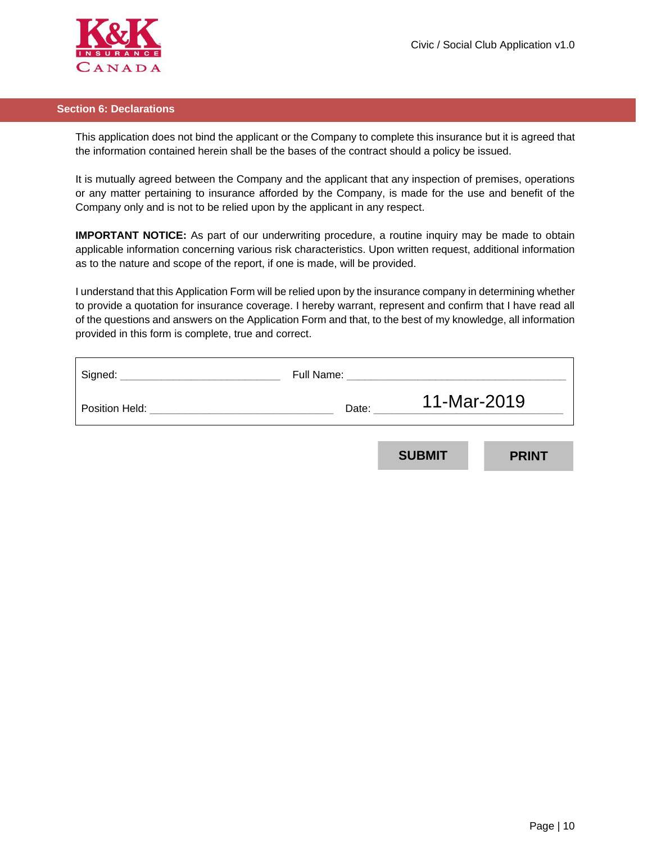

#### **Section 6: Declarations**

This application does not bind the applicant or the Company to complete this insurance but it is agreed that the information contained herein shall be the bases of the contract should a policy be issued.

It is mutually agreed between the Company and the applicant that any inspection of premises, operations or any matter pertaining to insurance afforded by the Company, is made for the use and benefit of the Company only and is not to be relied upon by the applicant in any respect.

**IMPORTANT NOTICE:** As part of our underwriting procedure, a routine inquiry may be made to obtain applicable information concerning various risk characteristics. Upon written request, additional information as to the nature and scope of the report, if one is made, will be provided.

I understand that this Application Form will be relied upon by the insurance company in determining whether to provide a quotation for insurance coverage. I hereby warrant, represent and confirm that I have read all of the questions and answers on the Application Form and that, to the best of my knowledge, all information provided in this form is complete, true and correct.

| Signed:        | Full Name: |               |              |  |  |
|----------------|------------|---------------|--------------|--|--|
| Position Held: | Date:      |               | 11-Mar-2019  |  |  |
|                |            |               |              |  |  |
|                |            | <b>SUBMIT</b> | <b>PRINT</b> |  |  |